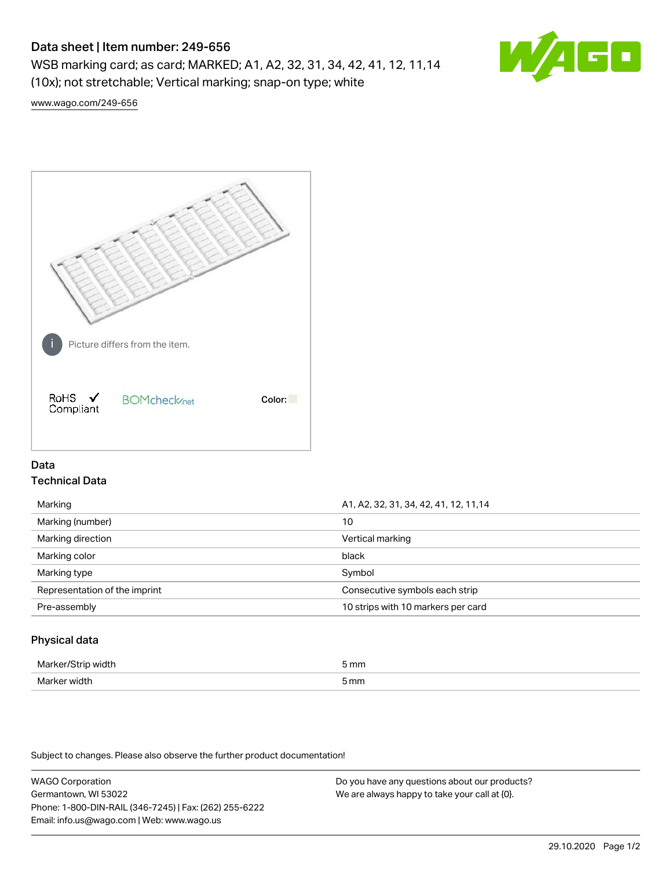# Data sheet | Item number: 249-656

WSB marking card; as card; MARKED; A1, A2, 32, 31, 34, 42, 41, 12, 11,14 (10x); not stretchable; Vertical marking; snap-on type; white



[www.wago.com/249-656](http://www.wago.com/249-656)



## Data Technical Data

| Marking                       | A1, A2, 32, 31, 34, 42, 41, 12, 11, 14 |  |
|-------------------------------|----------------------------------------|--|
| Marking (number)              | 10                                     |  |
| Marking direction             | Vertical marking                       |  |
| Marking color                 | black                                  |  |
| Marking type                  | Symbol                                 |  |
| Representation of the imprint | Consecutive symbols each strip         |  |
| Pre-assembly                  | 10 strips with 10 markers per card     |  |
|                               |                                        |  |

## Physical data

| Mar                      | 5 mm |
|--------------------------|------|
| M <sub>cr</sub><br>width | 5 mm |

Subject to changes. Please also observe the further product documentation!

WAGO Corporation Germantown, WI 53022 Phone: 1-800-DIN-RAIL (346-7245) | Fax: (262) 255-6222 Email: info.us@wago.com | Web: www.wago.us Do you have any questions about our products? We are always happy to take your call at {0}.